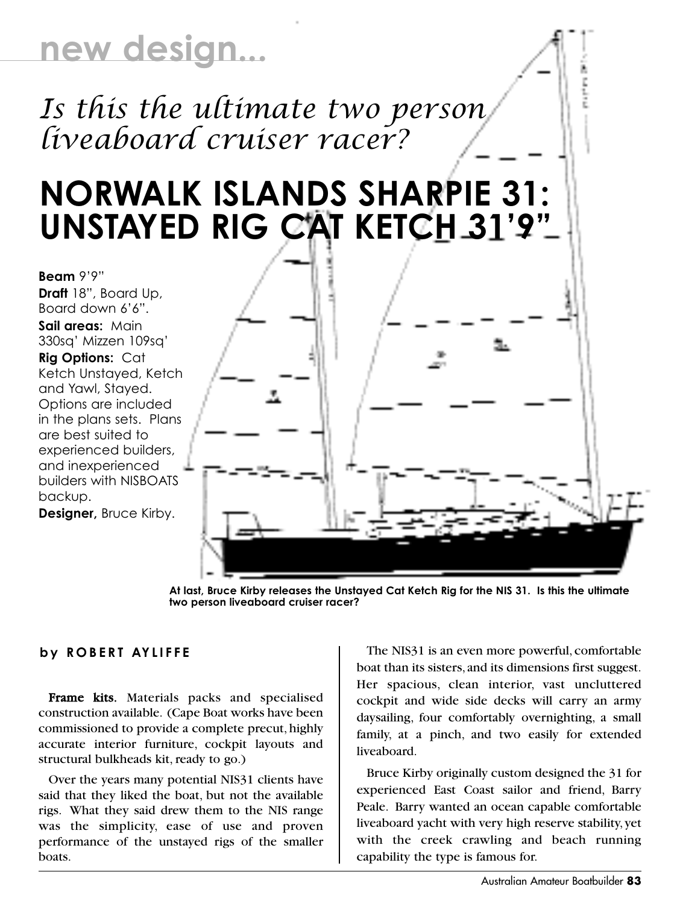## **new design...**

*Is this the ultimate two person liveaboard cruiser racer?*

## **NORWALK ISLANDS SHARPIE 31: UNSTAYED RIG CAT KETCH 31'9"**

**Beam** 9'9" **Draft** 18", Board Up, Board down 6'6". **Sail areas:** Main 330sq' Mizzen 109sq' **Rig Options:** Cat Ketch Unstayed, Ketch and Yawl, Stayed. Options are included in the plans sets. Plans are best suited to experienced builders, and inexperienced builders with NISBOATS backup.

**Designer,** Bruce Kirby.



**At last, Bruce Kirby releases the Unstayed Cat Ketch Rig for the NIS 31. Is this the ultimate two person liveaboard cruiser racer?**

## **by ROBERT AYLIFFE**

Frame kits. Materials packs and specialised construction available. (Cape Boat works have been commissioned to provide a complete precut, highly accurate interior furniture, cockpit layouts and structural bulkheads kit, ready to go.)

Over the years many potential NIS31 clients have said that they liked the boat, but not the available rigs. What they said drew them to the NIS range was the simplicity, ease of use and proven performance of the unstayed rigs of the smaller boats.

The NIS31 is an even more powerful, comfortable boat than its sisters,and its dimensions first suggest. Her spacious, clean interior, vast uncluttered cockpit and wide side decks will carry an army daysailing, four comfortably overnighting, a small family, at a pinch, and two easily for extended liveaboard.

Bruce Kirby originally custom designed the 31 for experienced East Coast sailor and friend, Barry Peale. Barry wanted an ocean capable comfortable liveaboard yacht with very high reserve stability, yet with the creek crawling and beach running capability the type is famous for.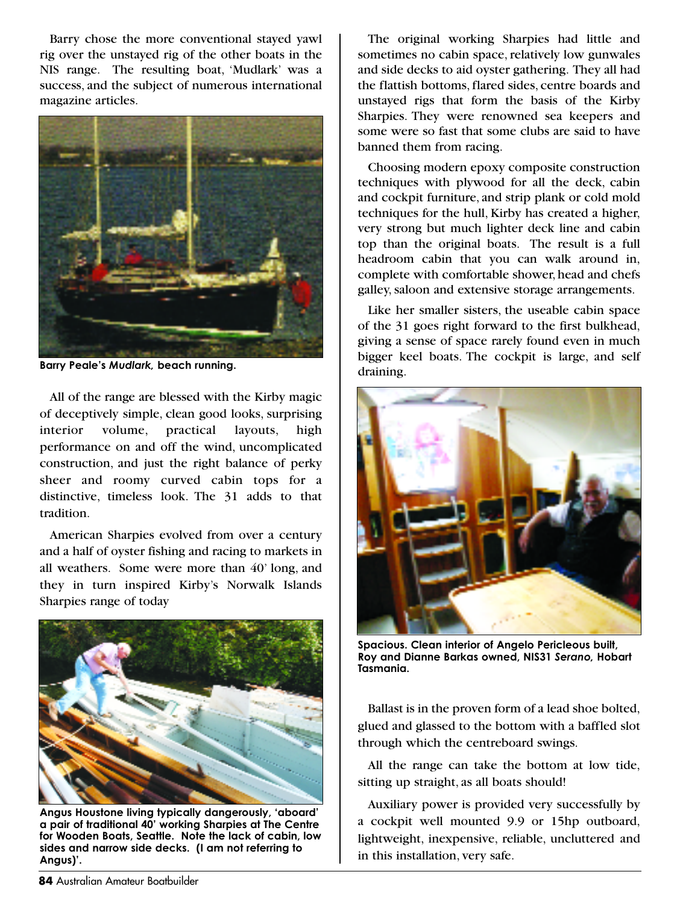Barry chose the more conventional stayed yawl rig over the unstayed rig of the other boats in the NIS range. The resulting boat, 'Mudlark' was a success, and the subject of numerous international magazine articles.



Barry Peale's Mudlark, beach running.<br>draining.

All of the range are blessed with the Kirby magic of deceptively simple, clean good looks, surprising interior volume, practical layouts, high performance on and off the wind, uncomplicated construction, and just the right balance of perky sheer and roomy curved cabin tops for a distinctive, timeless look. The 31 adds to that tradition.

American Sharpies evolved from over a century and a half of oyster fishing and racing to markets in all weathers. Some were more than 40' long, and they in turn inspired Kirby's Norwalk Islands Sharpies range of today



**Angus Houstone living typically dangerously, 'aboard' a pair of traditional 40' working Sharpies at The Centre for Wooden Boats, Seattle. Note the lack of cabin, low sides and narrow side decks. (I am not referring to Angus)'.**

The original working Sharpies had little and sometimes no cabin space, relatively low gunwales and side decks to aid oyster gathering. They all had the flattish bottoms, flared sides, centre boards and unstayed rigs that form the basis of the Kirby Sharpies. They were renowned sea keepers and some were so fast that some clubs are said to have banned them from racing.

Choosing modern epoxy composite construction techniques with plywood for all the deck, cabin and cockpit furniture, and strip plank or cold mold techniques for the hull, Kirby has created a higher, very strong but much lighter deck line and cabin top than the original boats. The result is a full headroom cabin that you can walk around in, complete with comfortable shower, head and chefs galley, saloon and extensive storage arrangements.

Like her smaller sisters, the useable cabin space of the 31 goes right forward to the first bulkhead, giving a sense of space rarely found even in much bigger keel boats. The cockpit is large, and self



**Spacious. Clean interior of Angelo Pericleous built, Roy and Dianne Barkas owned, NIS31** *Serano,* **Hobart Tasmania.**

Ballast is in the proven form of a lead shoe bolted, glued and glassed to the bottom with a baffled slot through which the centreboard swings.

All the range can take the bottom at low tide, sitting up straight, as all boats should!

Auxiliary power is provided very successfully by a cockpit well mounted 9.9 or 15hp outboard, lightweight, inexpensive, reliable, uncluttered and in this installation, very safe.